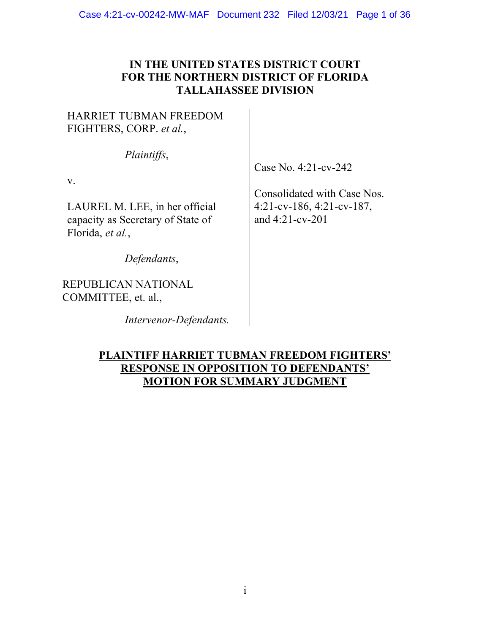## **IN THE UNITED STATES DISTRICT COURT FOR THE NORTHERN DISTRICT OF FLORIDA TALLAHASSEE DIVISION**

# HARRIET TUBMAN FREEDOM FIGHTERS, CORP. *et al.*,

*Plaintiffs*,

v.

LAUREL M. LEE, in her official capacity as Secretary of State of Florida, *et al.*,

*Defendants*,

REPUBLICAN NATIONAL COMMITTEE, et. al.,

*Intervenor-Defendants.*

Case No. 4:21-cv-242

Consolidated with Case Nos. 4:21-cv-186, 4:21-cv-187, and 4:21-cv-201

## **PLAINTIFF HARRIET TUBMAN FREEDOM FIGHTERS' RESPONSE IN OPPOSITION TO DEFENDANTS' MOTION FOR SUMMARY JUDGMENT**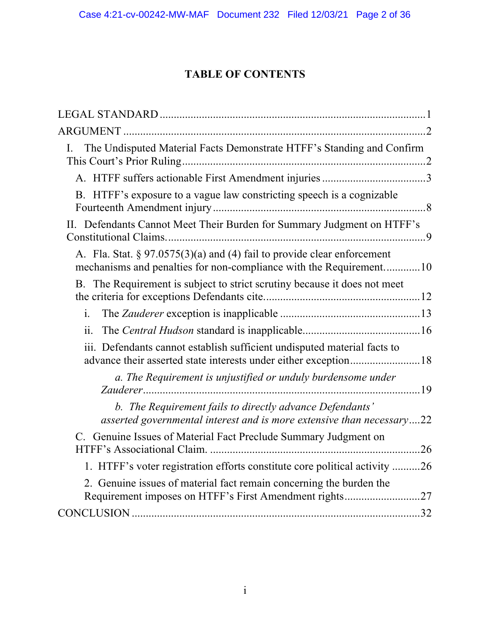# **TABLE OF CONTENTS**

| The Undisputed Material Facts Demonstrate HTFF's Standing and Confirm<br>I.                                                                      |
|--------------------------------------------------------------------------------------------------------------------------------------------------|
|                                                                                                                                                  |
| B. HTFF's exposure to a vague law constricting speech is a cognizable                                                                            |
| II. Defendants Cannot Meet Their Burden for Summary Judgment on HTFF's                                                                           |
| A. Fla. Stat. $\S 97.0575(3)(a)$ and (4) fail to provide clear enforcement<br>mechanisms and penalties for non-compliance with the Requirement10 |
| B. The Requirement is subject to strict scrutiny because it does not meet                                                                        |
| $\mathbf{i}$ .                                                                                                                                   |
| ii.                                                                                                                                              |
| iii. Defendants cannot establish sufficient undisputed material facts to                                                                         |
| a. The Requirement is unjustified or unduly burdensome under                                                                                     |
| b. The Requirement fails to directly advance Defendants'<br>asserted governmental interest and is more extensive than necessary22                |
| C. Genuine Issues of Material Fact Preclude Summary Judgment on                                                                                  |
| 1. HTFF's voter registration efforts constitute core political activity 26                                                                       |
| 2. Genuine issues of material fact remain concerning the burden the<br>Requirement imposes on HTFF's First Amendment rights27                    |
|                                                                                                                                                  |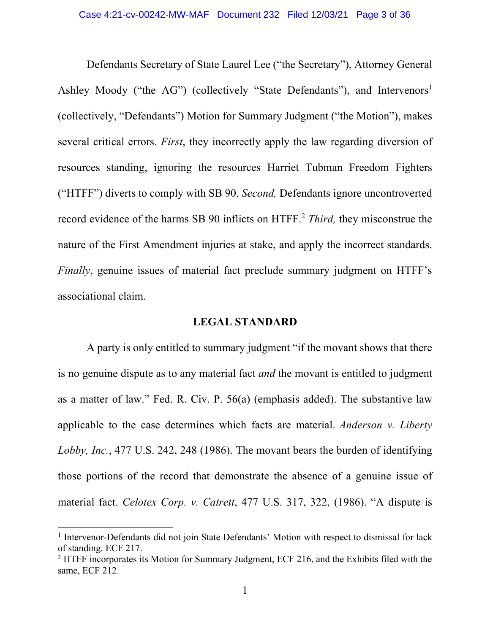Defendants Secretary of State Laurel Lee ("the Secretary"), Attorney General Ashley Moody ("the AG") (collectively "State Defendants"), and Intervenors<sup>1</sup> (collectively, "Defendants") Motion for Summary Judgment ("the Motion"), makes several critical errors. *First*, they incorrectly apply the law regarding diversion of resources standing, ignoring the resources Harriet Tubman Freedom Fighters ("HTFF") diverts to comply with SB 90. *Second,* Defendants ignore uncontroverted record evidence of the harms SB 90 inflicts on HTFF.2 *Third,* they misconstrue the nature of the First Amendment injuries at stake, and apply the incorrect standards. *Finally*, genuine issues of material fact preclude summary judgment on HTFF's associational claim.

#### **LEGAL STANDARD**

A party is only entitled to summary judgment "if the movant shows that there is no genuine dispute as to any material fact *and* the movant is entitled to judgment as a matter of law." Fed. R. Civ. P. 56(a) (emphasis added). The substantive law applicable to the case determines which facts are material. *Anderson v. Liberty Lobby, Inc.*, 477 U.S. 242, 248 (1986). The movant bears the burden of identifying those portions of the record that demonstrate the absence of a genuine issue of material fact. *Celotex Corp. v. Catrett*, 477 U.S. 317, 322, (1986). "A dispute is

<sup>&</sup>lt;sup>1</sup> Intervenor-Defendants did not join State Defendants' Motion with respect to dismissal for lack of standing. ECF 217.

 $2$  HTFF incorporates its Motion for Summary Judgment, ECF 216, and the Exhibits filed with the same, ECF 212.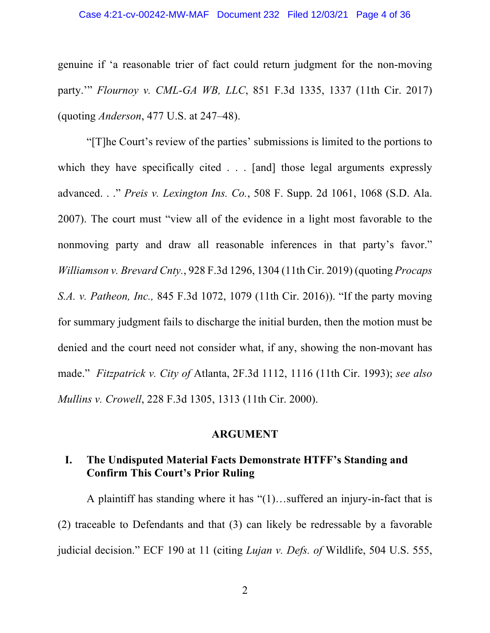genuine if 'a reasonable trier of fact could return judgment for the non-moving party.'" *Flournoy v. CML-GA WB, LLC*, 851 F.3d 1335, 1337 (11th Cir. 2017) (quoting *Anderson*, 477 U.S. at 247–48).

"[T]he Court's review of the parties' submissions is limited to the portions to which they have specifically cited . . . [and] those legal arguments expressly advanced. . ." *Preis v. Lexington Ins. Co.*, 508 F. Supp. 2d 1061, 1068 (S.D. Ala. 2007). The court must "view all of the evidence in a light most favorable to the nonmoving party and draw all reasonable inferences in that party's favor." *Williamson v. Brevard Cnty.*, 928 F.3d 1296, 1304 (11th Cir. 2019) (quoting *Procaps S.A. v. Patheon, Inc.,* 845 F.3d 1072, 1079 (11th Cir. 2016)). "If the party moving for summary judgment fails to discharge the initial burden, then the motion must be denied and the court need not consider what, if any, showing the non-movant has made." *Fitzpatrick v. City of* Atlanta, 2F.3d 1112, 1116 (11th Cir. 1993); *see also Mullins v. Crowell*, 228 F.3d 1305, 1313 (11th Cir. 2000).

#### **ARGUMENT**

### **I. The Undisputed Material Facts Demonstrate HTFF's Standing and Confirm This Court's Prior Ruling**

A plaintiff has standing where it has "(1)…suffered an injury-in-fact that is (2) traceable to Defendants and that (3) can likely be redressable by a favorable judicial decision." ECF 190 at 11 (citing *Lujan v. Defs. of* Wildlife, 504 U.S. 555,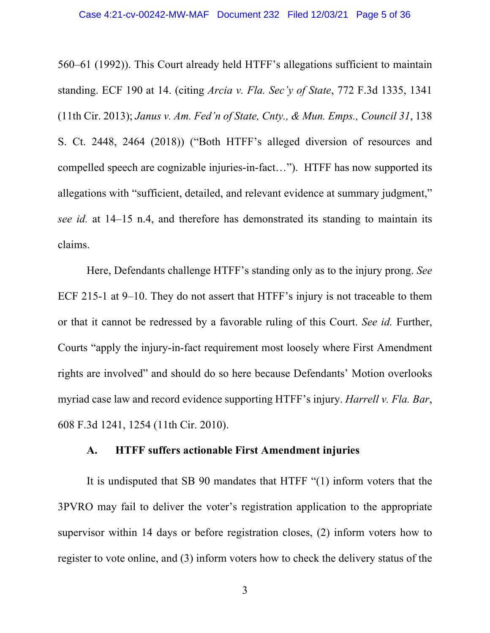560–61 (1992)). This Court already held HTFF's allegations sufficient to maintain standing. ECF 190 at 14. (citing *Arcia v. Fla. Sec'y of State*, 772 F.3d 1335, 1341 (11th Cir. 2013); *Janus v. Am. Fed'n of State, Cnty., & Mun. Emps., Council 31*, 138 S. Ct. 2448, 2464 (2018)) ("Both HTFF's alleged diversion of resources and compelled speech are cognizable injuries-in-fact…"). HTFF has now supported its allegations with "sufficient, detailed, and relevant evidence at summary judgment," *see id.* at 14–15 n.4, and therefore has demonstrated its standing to maintain its claims.

Here, Defendants challenge HTFF's standing only as to the injury prong. *See* ECF 215-1 at 9–10. They do not assert that HTFF's injury is not traceable to them or that it cannot be redressed by a favorable ruling of this Court. *See id.* Further, Courts "apply the injury-in-fact requirement most loosely where First Amendment rights are involved" and should do so here because Defendants' Motion overlooks myriad case law and record evidence supporting HTFF's injury. *Harrell v. Fla. Bar*, 608 F.3d 1241, 1254 (11th Cir. 2010).

### **A. HTFF suffers actionable First Amendment injuries**

It is undisputed that SB 90 mandates that HTFF "(1) inform voters that the 3PVRO may fail to deliver the voter's registration application to the appropriate supervisor within 14 days or before registration closes, (2) inform voters how to register to vote online, and (3) inform voters how to check the delivery status of the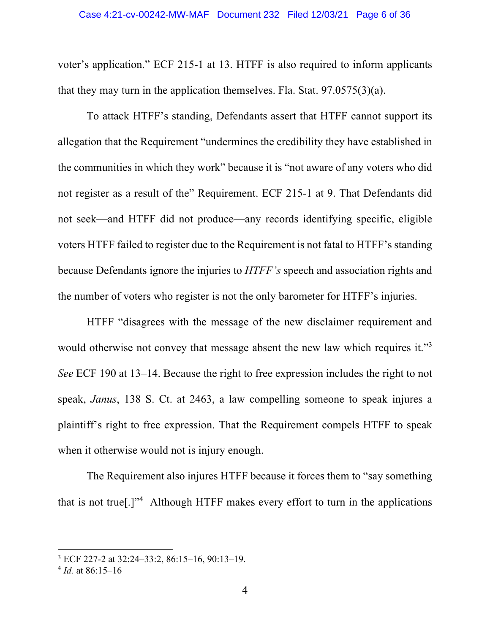voter's application." ECF 215-1 at 13. HTFF is also required to inform applicants that they may turn in the application themselves. Fla. Stat.  $97.0575(3)(a)$ .

To attack HTFF's standing, Defendants assert that HTFF cannot support its allegation that the Requirement "undermines the credibility they have established in the communities in which they work" because it is "not aware of any voters who did not register as a result of the" Requirement. ECF 215-1 at 9. That Defendants did not seek—and HTFF did not produce—any records identifying specific, eligible voters HTFF failed to register due to the Requirement is not fatal to HTFF's standing because Defendants ignore the injuries to *HTFF's* speech and association rights and the number of voters who register is not the only barometer for HTFF's injuries.

HTFF "disagrees with the message of the new disclaimer requirement and would otherwise not convey that message absent the new law which requires it."<sup>3</sup> *See* ECF 190 at 13–14. Because the right to free expression includes the right to not speak, *Janus*, 138 S. Ct. at 2463, a law compelling someone to speak injures a plaintiff's right to free expression. That the Requirement compels HTFF to speak when it otherwise would not is injury enough.

The Requirement also injures HTFF because it forces them to "say something that is not true[.]"<sup>4</sup> Although HTFF makes every effort to turn in the applications

<sup>3</sup> ECF 227-2 at 32:24–33:2, 86:15–16, 90:13–19.

<sup>4</sup> *Id.* at 86:15–16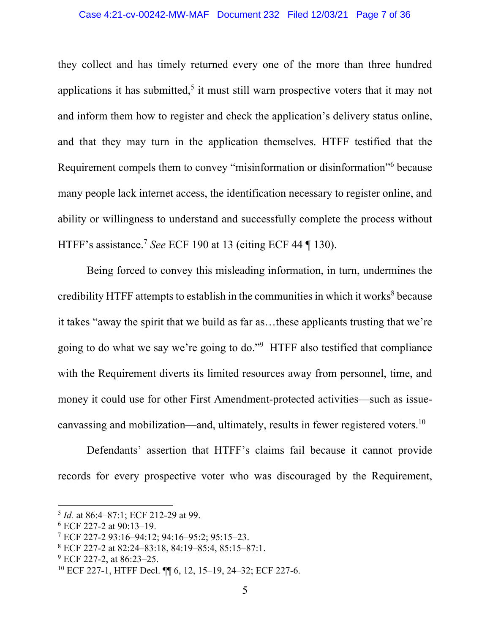they collect and has timely returned every one of the more than three hundred applications it has submitted,<sup>5</sup> it must still warn prospective voters that it may not and inform them how to register and check the application's delivery status online, and that they may turn in the application themselves. HTFF testified that the Requirement compels them to convey "misinformation or disinformation"6 because many people lack internet access, the identification necessary to register online, and ability or willingness to understand and successfully complete the process without HTFF's assistance. <sup>7</sup> *See* ECF 190 at 13 (citing ECF 44 ¶ 130).

Being forced to convey this misleading information, in turn, undermines the credibility HTFF attempts to establish in the communities in which it works $8$  because it takes "away the spirit that we build as far as…these applicants trusting that we're going to do what we say we're going to do."9 HTFF also testified that compliance with the Requirement diverts its limited resources away from personnel, time, and money it could use for other First Amendment-protected activities—such as issuecanvassing and mobilization—and, ultimately, results in fewer registered voters.10

Defendants' assertion that HTFF's claims fail because it cannot provide records for every prospective voter who was discouraged by the Requirement,

<sup>5</sup> *Id.* at 86:4–87:1; ECF 212-29 at 99.

<sup>6</sup> ECF 227-2 at 90:13–19.

<sup>7</sup> ECF 227-2 93:16–94:12; 94:16–95:2; 95:15–23.

<sup>8</sup> ECF 227-2 at 82:24–83:18, 84:19–85:4, 85:15–87:1.

<sup>&</sup>lt;sup>9</sup> ECF 227-2, at 86:23–25.

<sup>10</sup> ECF 227-1, HTFF Decl. ¶¶ 6, 12, 15–19, 24–32; ECF 227-6.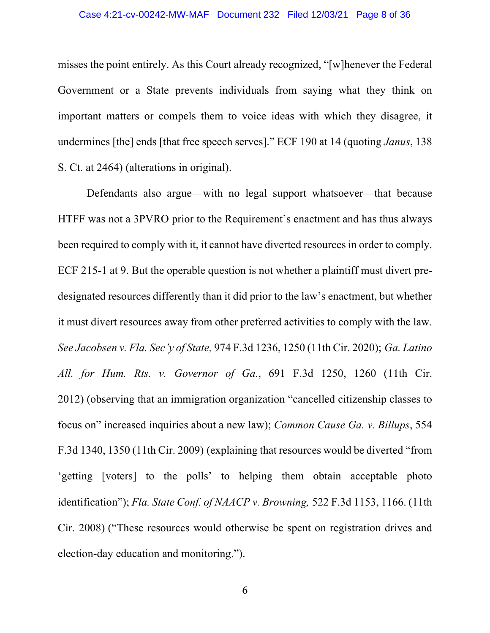misses the point entirely. As this Court already recognized, "[w]henever the Federal Government or a State prevents individuals from saying what they think on important matters or compels them to voice ideas with which they disagree, it undermines [the] ends [that free speech serves]." ECF 190 at 14 (quoting *Janus*, 138 S. Ct. at 2464) (alterations in original).

Defendants also argue—with no legal support whatsoever—that because HTFF was not a 3PVRO prior to the Requirement's enactment and has thus always been required to comply with it, it cannot have diverted resources in order to comply. ECF 215-1 at 9. But the operable question is not whether a plaintiff must divert predesignated resources differently than it did prior to the law's enactment, but whether it must divert resources away from other preferred activities to comply with the law. *See Jacobsen v. Fla. Sec'y of State,* 974 F.3d 1236, 1250 (11th Cir. 2020); *Ga. Latino All. for Hum. Rts. v. Governor of Ga.*, 691 F.3d 1250, 1260 (11th Cir. 2012) (observing that an immigration organization "cancelled citizenship classes to focus on" increased inquiries about a new law); *Common Cause Ga. v. Billups*, 554 F.3d 1340, 1350 (11th Cir. 2009) (explaining that resources would be diverted "from 'getting [voters] to the polls' to helping them obtain acceptable photo identification"); *Fla. State Conf. of NAACP v. Browning,* 522 F.3d 1153, 1166. (11th Cir. 2008) ("These resources would otherwise be spent on registration drives and election-day education and monitoring.").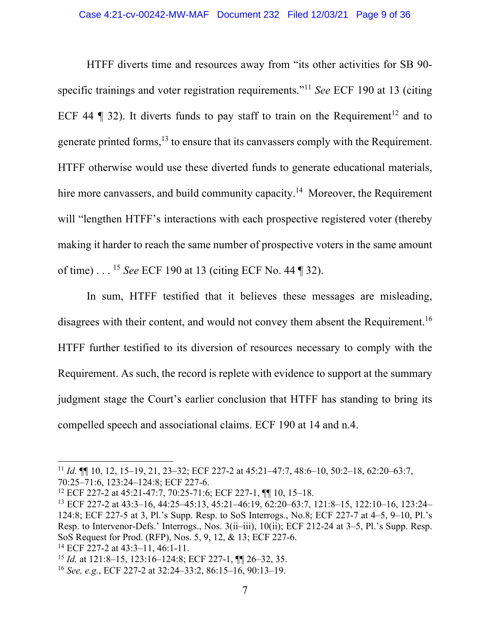HTFF diverts time and resources away from "its other activities for SB 90 specific trainings and voter registration requirements."11 *See* ECF 190 at 13 (citing ECF 44  $\parallel$  32). It diverts funds to pay staff to train on the Requirement<sup>12</sup> and to generate printed forms,<sup>13</sup> to ensure that its canvassers comply with the Requirement. HTFF otherwise would use these diverted funds to generate educational materials, hire more canvassers, and build community capacity.<sup>14</sup> Moreover, the Requirement will "lengthen HTFF's interactions with each prospective registered voter (thereby making it harder to reach the same number of prospective voters in the same amount of time) . . . <sup>15</sup> *See* ECF 190 at 13 (citing ECF No. 44 ¶ 32).

In sum, HTFF testified that it believes these messages are misleading, disagrees with their content, and would not convey them absent the Requirement.<sup>16</sup> HTFF further testified to its diversion of resources necessary to comply with the Requirement. As such, the record is replete with evidence to support at the summary judgment stage the Court's earlier conclusion that HTFF has standing to bring its compelled speech and associational claims. ECF 190 at 14 and n.4.

<sup>11</sup> *Id.* ¶¶ 10, 12, 15–19, 21, 23–32; ECF 227-2 at 45:21–47:7, 48:6–10, 50:2–18, 62:20–63:7,

<sup>70:25–71:6,</sup> 123:24–124:8; ECF 227-6.

<sup>12</sup> ECF 227-2 at 45:21-47:7, 70:25-71:6; ECF 227-1, ¶¶ 10, 15–18.

<sup>13</sup> ECF 227-2 at 43:3–16, 44:25–45:13, 45:21–46:19, 62:20–63:7, 121:8–15, 122:10–16, 123:24– 124:8; ECF 227-5 at 3, Pl.'s Supp. Resp. to SoS Interrogs., No.8; ECF 227-7 at 4–5, 9–10, Pl.'s Resp. to Intervenor-Defs.' Interrogs., Nos. 3(ii–iii), 10(ii); ECF 212-24 at 3–5, Pl.'s Supp. Resp. SoS Request for Prod. (RFP), Nos. 5, 9, 12, & 13; ECF 227-6.

<sup>14</sup> ECF 227-2 at 43:3–11, 46:1-11.

<sup>15</sup> *Id.* at 121:8–15, 123:16–124:8; ECF 227-1, ¶¶ 26–32, 35.

<sup>16</sup> *See, e.g.*, ECF 227-2 at 32:24–33:2, 86:15–16, 90:13–19.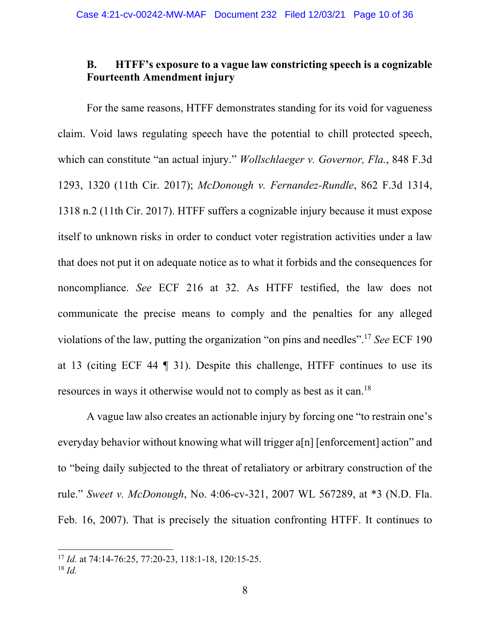## **B. HTFF's exposure to a vague law constricting speech is a cognizable Fourteenth Amendment injury**

For the same reasons, HTFF demonstrates standing for its void for vagueness claim. Void laws regulating speech have the potential to chill protected speech, which can constitute "an actual injury." *Wollschlaeger v. Governor, Fla.*, 848 F.3d 1293, 1320 (11th Cir. 2017); *McDonough v. Fernandez-Rundle*, 862 F.3d 1314, 1318 n.2 (11th Cir. 2017). HTFF suffers a cognizable injury because it must expose itself to unknown risks in order to conduct voter registration activities under a law that does not put it on adequate notice as to what it forbids and the consequences for noncompliance. *See* ECF 216 at 32. As HTFF testified, the law does not communicate the precise means to comply and the penalties for any alleged violations of the law, putting the organization "on pins and needles". <sup>17</sup> *See* ECF 190 at 13 (citing ECF 44 ¶ 31). Despite this challenge, HTFF continues to use its resources in ways it otherwise would not to comply as best as it can.18

A vague law also creates an actionable injury by forcing one "to restrain one's everyday behavior without knowing what will trigger a[n] [enforcement] action" and to "being daily subjected to the threat of retaliatory or arbitrary construction of the rule." *Sweet v. McDonough*, No. 4:06-cv-321, 2007 WL 567289, at \*3 (N.D. Fla. Feb. 16, 2007). That is precisely the situation confronting HTFF. It continues to

<sup>17</sup> *Id.* at 74:14-76:25, 77:20-23, 118:1-18, 120:15-25.

<sup>18</sup> *Id.*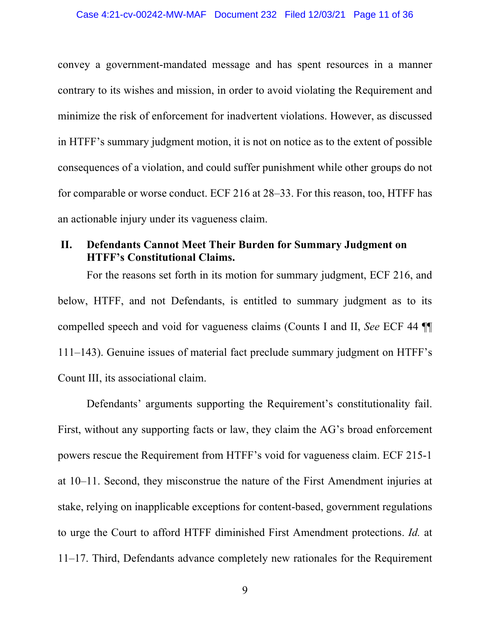convey a government-mandated message and has spent resources in a manner contrary to its wishes and mission, in order to avoid violating the Requirement and minimize the risk of enforcement for inadvertent violations. However, as discussed in HTFF's summary judgment motion, it is not on notice as to the extent of possible consequences of a violation, and could suffer punishment while other groups do not for comparable or worse conduct. ECF 216 at 28–33. For this reason, too, HTFF has an actionable injury under its vagueness claim.

## **II. Defendants Cannot Meet Their Burden for Summary Judgment on HTFF's Constitutional Claims.**

For the reasons set forth in its motion for summary judgment, ECF 216, and below, HTFF, and not Defendants, is entitled to summary judgment as to its compelled speech and void for vagueness claims (Counts I and II, *See* ECF 44 ¶¶ 111–143). Genuine issues of material fact preclude summary judgment on HTFF's Count III, its associational claim.

Defendants' arguments supporting the Requirement's constitutionality fail. First, without any supporting facts or law, they claim the AG's broad enforcement powers rescue the Requirement from HTFF's void for vagueness claim. ECF 215-1 at 10–11. Second, they misconstrue the nature of the First Amendment injuries at stake, relying on inapplicable exceptions for content-based, government regulations to urge the Court to afford HTFF diminished First Amendment protections. *Id.* at 11–17. Third, Defendants advance completely new rationales for the Requirement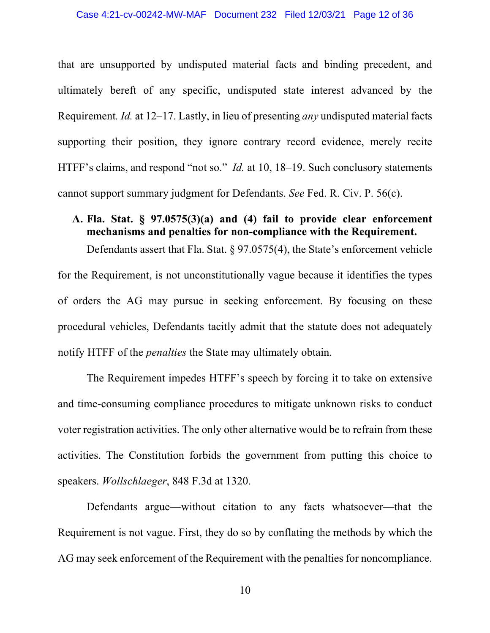that are unsupported by undisputed material facts and binding precedent, and ultimately bereft of any specific, undisputed state interest advanced by the Requirement*. Id.* at 12–17. Lastly, in lieu of presenting *any* undisputed material facts supporting their position, they ignore contrary record evidence, merely recite HTFF's claims, and respond "not so." *Id.* at 10, 18–19. Such conclusory statements cannot support summary judgment for Defendants. *See* Fed. R. Civ. P. 56(c).

## **A. Fla. Stat. § 97.0575(3)(a) and (4) fail to provide clear enforcement mechanisms and penalties for non-compliance with the Requirement.**

Defendants assert that Fla. Stat. § 97.0575(4), the State's enforcement vehicle for the Requirement, is not unconstitutionally vague because it identifies the types of orders the AG may pursue in seeking enforcement. By focusing on these procedural vehicles, Defendants tacitly admit that the statute does not adequately notify HTFF of the *penalties* the State may ultimately obtain.

The Requirement impedes HTFF's speech by forcing it to take on extensive and time-consuming compliance procedures to mitigate unknown risks to conduct voter registration activities. The only other alternative would be to refrain from these activities. The Constitution forbids the government from putting this choice to speakers. *Wollschlaeger*, 848 F.3d at 1320.

Defendants argue—without citation to any facts whatsoever—that the Requirement is not vague. First, they do so by conflating the methods by which the AG may seek enforcement of the Requirement with the penalties for noncompliance.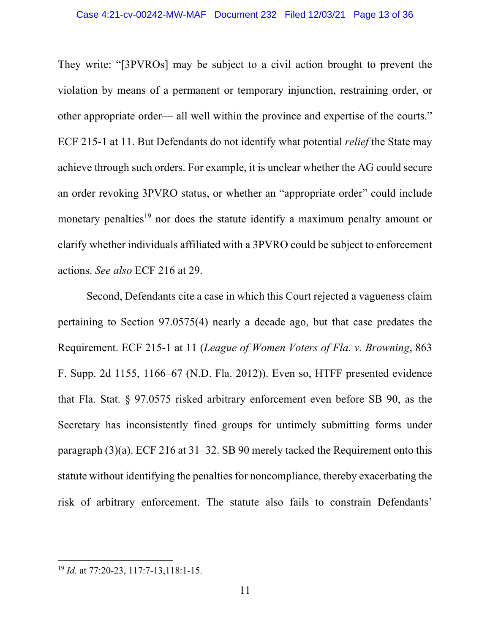They write: "[3PVROs] may be subject to a civil action brought to prevent the violation by means of a permanent or temporary injunction, restraining order, or other appropriate order— all well within the province and expertise of the courts." ECF 215-1 at 11. But Defendants do not identify what potential *relief* the State may achieve through such orders. For example, it is unclear whether the AG could secure an order revoking 3PVRO status, or whether an "appropriate order" could include monetary penalties<sup>19</sup> nor does the statute identify a maximum penalty amount or clarify whether individuals affiliated with a 3PVRO could be subject to enforcement actions. *See also* ECF 216 at 29.

Second, Defendants cite a case in which this Court rejected a vagueness claim pertaining to Section 97.0575(4) nearly a decade ago, but that case predates the Requirement. ECF 215-1 at 11 (*League of Women Voters of Fla. v. Browning*, 863 F. Supp. 2d 1155, 1166–67 (N.D. Fla. 2012)). Even so, HTFF presented evidence that Fla. Stat. § 97.0575 risked arbitrary enforcement even before SB 90, as the Secretary has inconsistently fined groups for untimely submitting forms under paragraph (3)(a). ECF 216 at 31–32. SB 90 merely tacked the Requirement onto this statute without identifying the penalties for noncompliance, thereby exacerbating the risk of arbitrary enforcement. The statute also fails to constrain Defendants'

<sup>19</sup> *Id.* at 77:20-23, 117:7-13,118:1-15.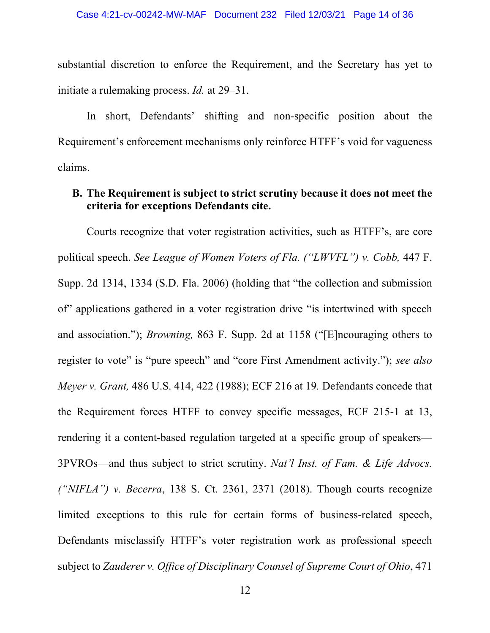substantial discretion to enforce the Requirement, and the Secretary has yet to initiate a rulemaking process. *Id.* at 29–31.

In short, Defendants' shifting and non-specific position about the Requirement's enforcement mechanisms only reinforce HTFF's void for vagueness claims.

## **B. The Requirement is subject to strict scrutiny because it does not meet the criteria for exceptions Defendants cite.**

Courts recognize that voter registration activities, such as HTFF's, are core political speech. *See League of Women Voters of Fla. ("LWVFL") v. Cobb,* 447 F. Supp. 2d 1314, 1334 (S.D. Fla. 2006) (holding that "the collection and submission of" applications gathered in a voter registration drive "is intertwined with speech and association."); *Browning,* 863 F. Supp. 2d at 1158 ("[E]ncouraging others to register to vote" is "pure speech" and "core First Amendment activity."); *see also Meyer v. Grant,* 486 U.S. 414, 422 (1988); ECF 216 at 19*.* Defendants concede that the Requirement forces HTFF to convey specific messages, ECF 215-1 at 13, rendering it a content-based regulation targeted at a specific group of speakers— 3PVROs—and thus subject to strict scrutiny. *Nat'l Inst. of Fam. & Life Advocs. ("NIFLA") v. Becerra*, 138 S. Ct. 2361, 2371 (2018). Though courts recognize limited exceptions to this rule for certain forms of business-related speech, Defendants misclassify HTFF's voter registration work as professional speech subject to *Zauderer v. Office of Disciplinary Counsel of Supreme Court of Ohio*, 471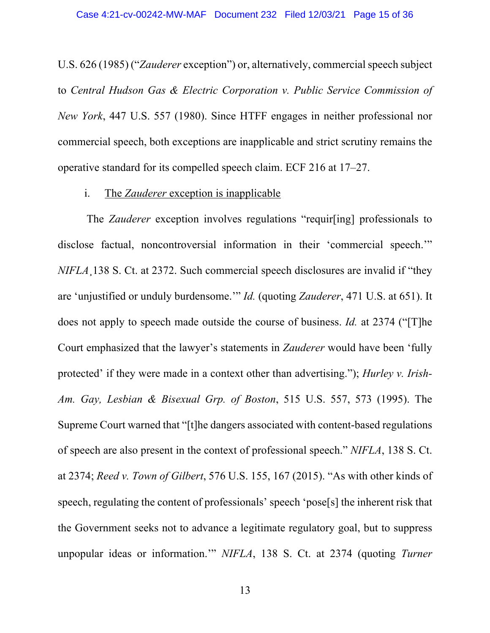U.S.  $626$  (1985) ("*Zauderer* exception") or, alternatively, commercial speech subject to *Central Hudson Gas & Electric Corporation v. Public Service Commission of New York*, 447 U.S. 557 (1980). Since HTFF engages in neither professional nor commercial speech, both exceptions are inapplicable and strict scrutiny remains the operative standard for its compelled speech claim. ECF 216 at 17–27.

#### i. The *Zauderer* exception is inapplicable

The *Zauderer* exception involves regulations "requir[ing] professionals to disclose factual, noncontroversial information in their 'commercial speech.'" *NIFLA*¸138 S. Ct. at 2372. Such commercial speech disclosures are invalid if "they are 'unjustified or unduly burdensome.'" *Id.* (quoting *Zauderer*, 471 U.S. at 651). It does not apply to speech made outside the course of business. *Id.* at 2374 ("[T]he Court emphasized that the lawyer's statements in *Zauderer* would have been 'fully protected' if they were made in a context other than advertising."); *Hurley v. Irish-Am. Gay, Lesbian & Bisexual Grp. of Boston*, 515 U.S. 557, 573 (1995). The Supreme Court warned that "[t]he dangers associated with content-based regulations of speech are also present in the context of professional speech." *NIFLA*, 138 S. Ct. at 2374; *Reed v. Town of Gilbert*, 576 U.S. 155, 167 (2015). "As with other kinds of speech, regulating the content of professionals' speech 'pose[s] the inherent risk that the Government seeks not to advance a legitimate regulatory goal, but to suppress unpopular ideas or information.'" *NIFLA*, 138 S. Ct. at 2374 (quoting *Turner*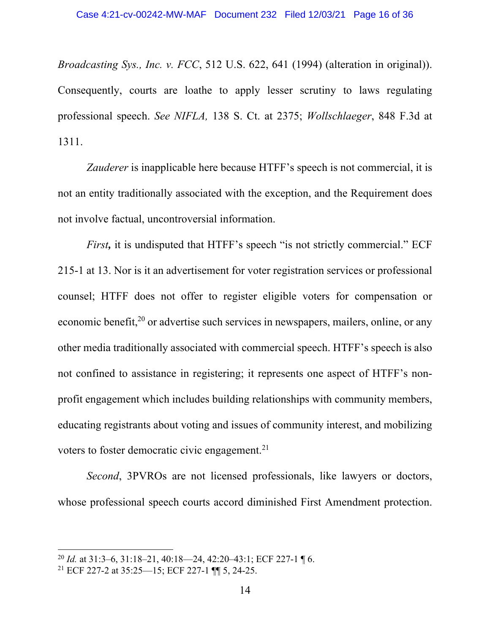*Broadcasting Sys., Inc. v. FCC*, 512 U.S. 622, 641 (1994) (alteration in original)). Consequently, courts are loathe to apply lesser scrutiny to laws regulating professional speech. *See NIFLA,* 138 S. Ct. at 2375; *Wollschlaeger*, 848 F.3d at 1311.

*Zauderer* is inapplicable here because HTFF's speech is not commercial, it is not an entity traditionally associated with the exception, and the Requirement does not involve factual, uncontroversial information.

*First*, it is undisputed that HTFF's speech "is not strictly commercial." ECF 215-1 at 13. Nor is it an advertisement for voter registration services or professional counsel; HTFF does not offer to register eligible voters for compensation or economic benefit, $2<sup>0</sup>$  or advertise such services in newspapers, mailers, online, or any other media traditionally associated with commercial speech. HTFF's speech is also not confined to assistance in registering; it represents one aspect of HTFF's nonprofit engagement which includes building relationships with community members, educating registrants about voting and issues of community interest, and mobilizing voters to foster democratic civic engagement.<sup>21</sup>

*Second*, 3PVROs are not licensed professionals, like lawyers or doctors, whose professional speech courts accord diminished First Amendment protection.

<sup>20</sup> *Id.* at 31:3–6, 31:18–21, 40:18––24, 42:20–43:1; ECF 227-1 ¶ 6.

<sup>21</sup> ECF 227-2 at 35:25––15; ECF 227-1 ¶¶ 5, 24-25.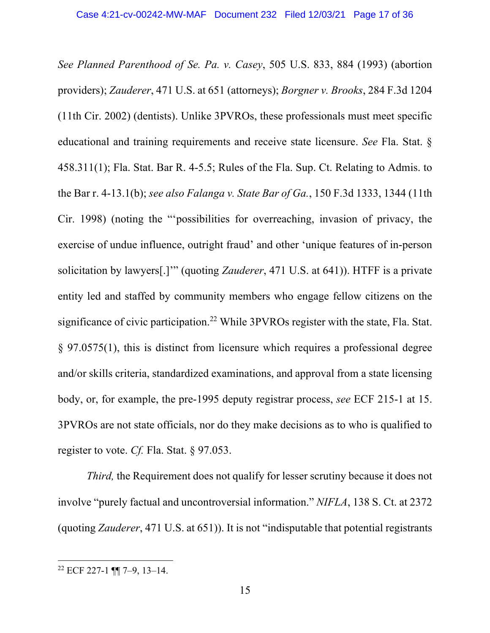*See Planned Parenthood of Se. Pa. v. Casey*, 505 U.S. 833, 884 (1993) (abortion providers); *Zauderer*, 471 U.S. at 651 (attorneys); *Borgner v. Brooks*, 284 F.3d 1204 (11th Cir. 2002) (dentists). Unlike 3PVROs, these professionals must meet specific educational and training requirements and receive state licensure. *See* Fla. Stat. § 458.311(1); Fla. Stat. Bar R. 4-5.5; Rules of the Fla. Sup. Ct. Relating to Admis. to the Bar r. 4-13.1(b); *see also Falanga v. State Bar of Ga.*, 150 F.3d 1333, 1344 (11th Cir. 1998) (noting the "'possibilities for overreaching, invasion of privacy, the exercise of undue influence, outright fraud' and other 'unique features of in-person solicitation by lawyers[.]'" (quoting *Zauderer*, 471 U.S. at 641)). HTFF is a private entity led and staffed by community members who engage fellow citizens on the significance of civic participation.<sup>22</sup> While 3PVROs register with the state, Fla. Stat. § 97.0575(1), this is distinct from licensure which requires a professional degree and/or skills criteria, standardized examinations, and approval from a state licensing body, or, for example, the pre-1995 deputy registrar process, *see* ECF 215-1 at 15. 3PVROs are not state officials, nor do they make decisions as to who is qualified to register to vote. *Cf.* Fla. Stat. § 97.053.

*Third,* the Requirement does not qualify for lesser scrutiny because it does not involve "purely factual and uncontroversial information." *NIFLA*, 138 S. Ct. at 2372 (quoting *Zauderer*, 471 U.S. at 651)). It is not "indisputable that potential registrants

<sup>22</sup> ECF 227-1 ¶¶ 7–9, 13–14.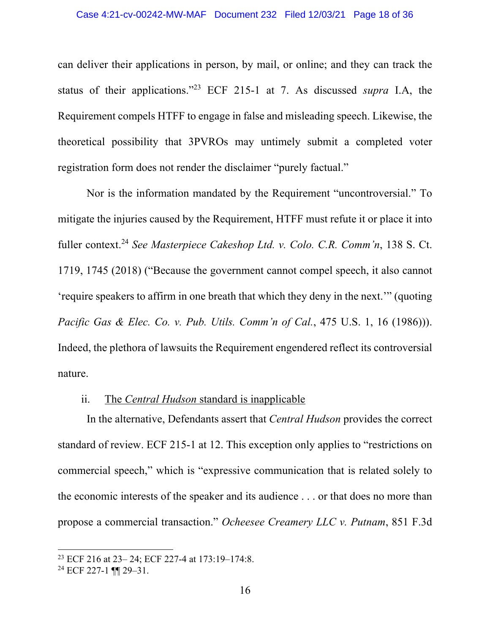can deliver their applications in person, by mail, or online; and they can track the status of their applications."23 ECF 215-1 at 7. As discussed *supra* I.A, the Requirement compels HTFF to engage in false and misleading speech. Likewise, the theoretical possibility that 3PVROs may untimely submit a completed voter registration form does not render the disclaimer "purely factual."

Nor is the information mandated by the Requirement "uncontroversial." To mitigate the injuries caused by the Requirement, HTFF must refute it or place it into fuller context.24 *See Masterpiece Cakeshop Ltd. v. Colo. C.R. Comm'n*, 138 S. Ct. 1719, 1745 (2018) ("Because the government cannot compel speech, it also cannot 'require speakers to affirm in one breath that which they deny in the next.'" (quoting *Pacific Gas & Elec. Co. v. Pub. Utils. Comm'n of Cal.*, 475 U.S. 1, 16 (1986))). Indeed, the plethora of lawsuits the Requirement engendered reflect its controversial nature.

#### ii. The *Central Hudson* standard is inapplicable

In the alternative, Defendants assert that *Central Hudson* provides the correct standard of review. ECF 215-1 at 12. This exception only applies to "restrictions on commercial speech," which is "expressive communication that is related solely to the economic interests of the speaker and its audience . . . or that does no more than propose a commercial transaction." *Ocheesee Creamery LLC v. Putnam*, 851 F.3d

<sup>23</sup> ECF 216 at 23– 24; ECF 227-4 at 173:19–174:8.

<sup>24</sup> ECF 227-1 ¶¶ 29–31.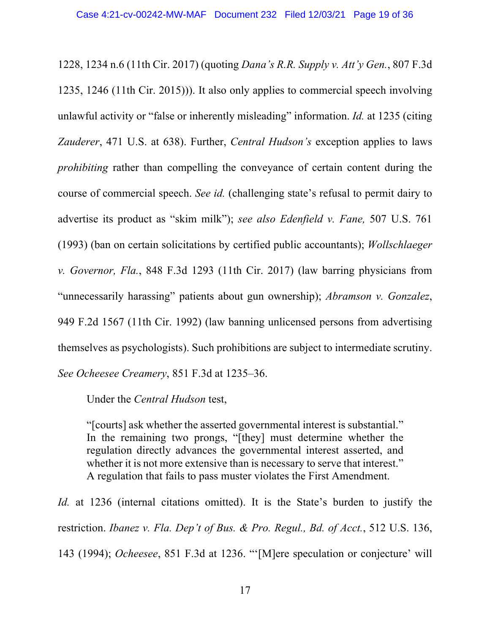1228, 1234 n.6 (11th Cir. 2017) (quoting *Dana's R.R. Supply v. Att'y Gen.*, 807 F.3d 1235, 1246 (11th Cir. 2015))). It also only applies to commercial speech involving unlawful activity or "false or inherently misleading" information. *Id.* at 1235 (citing *Zauderer*, 471 U.S. at 638). Further, *Central Hudson's* exception applies to laws *prohibiting* rather than compelling the conveyance of certain content during the course of commercial speech. *See id.* (challenging state's refusal to permit dairy to advertise its product as "skim milk"); *see also Edenfield v. Fane,* 507 U.S. 761 (1993) (ban on certain solicitations by certified public accountants); *Wollschlaeger v. Governor, Fla.*, 848 F.3d 1293 (11th Cir. 2017) (law barring physicians from "unnecessarily harassing" patients about gun ownership); *Abramson v. Gonzalez*, 949 F.2d 1567 (11th Cir. 1992) (law banning unlicensed persons from advertising themselves as psychologists). Such prohibitions are subject to intermediate scrutiny. *See Ocheesee Creamery*, 851 F.3d at 1235–36.

Under the *Central Hudson* test,

"[courts] ask whether the asserted governmental interest is substantial." In the remaining two prongs, "[they] must determine whether the regulation directly advances the governmental interest asserted, and whether it is not more extensive than is necessary to serve that interest." A regulation that fails to pass muster violates the First Amendment.

*Id.* at 1236 (internal citations omitted). It is the State's burden to justify the restriction. *Ibanez v. Fla. Dep't of Bus. & Pro. Regul., Bd. of Acct.*, 512 U.S. 136, 143 (1994); *Ocheesee*, 851 F.3d at 1236. "'[M]ere speculation or conjecture' will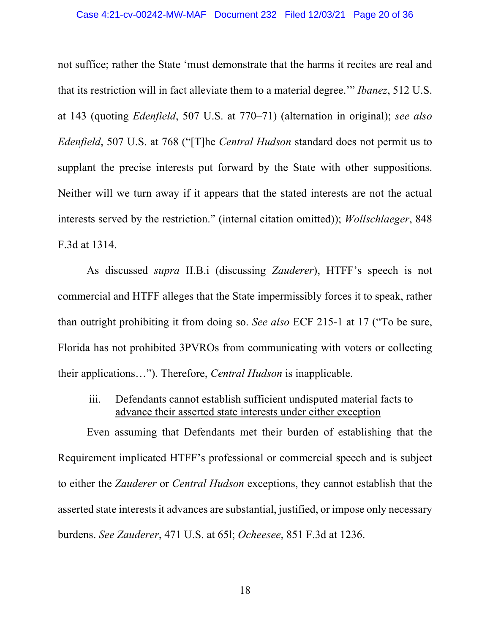not suffice; rather the State 'must demonstrate that the harms it recites are real and that its restriction will in fact alleviate them to a material degree.'" *Ibanez*, 512 U.S. at 143 (quoting *Edenfield*, 507 U.S. at 770–71) (alternation in original); *see also Edenfield*, 507 U.S. at 768 ("[T]he *Central Hudson* standard does not permit us to supplant the precise interests put forward by the State with other suppositions. Neither will we turn away if it appears that the stated interests are not the actual interests served by the restriction." (internal citation omitted)); *Wollschlaeger*, 848 F.3d at 1314.

As discussed *supra* II.B.i (discussing *Zauderer*), HTFF's speech is not commercial and HTFF alleges that the State impermissibly forces it to speak, rather than outright prohibiting it from doing so. *See also* ECF 215-1 at 17 ("To be sure, Florida has not prohibited 3PVROs from communicating with voters or collecting their applications…"). Therefore, *Central Hudson* is inapplicable.

iii. Defendants cannot establish sufficient undisputed material facts to advance their asserted state interests under either exception

Even assuming that Defendants met their burden of establishing that the Requirement implicated HTFF's professional or commercial speech and is subject to either the *Zauderer* or *Central Hudson* exceptions, they cannot establish that the asserted state interests it advances are substantial, justified, or impose only necessary burdens. *See Zauderer*, 471 U.S. at 65l; *Ocheesee*, 851 F.3d at 1236.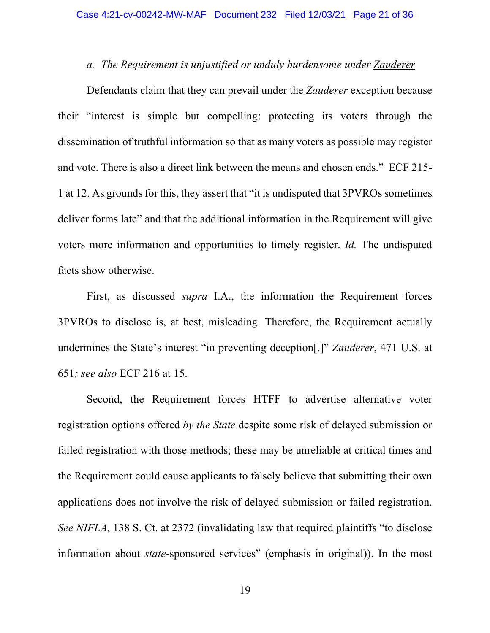#### *a. The Requirement is unjustified or unduly burdensome under Zauderer*

Defendants claim that they can prevail under the *Zauderer* exception because their "interest is simple but compelling: protecting its voters through the dissemination of truthful information so that as many voters as possible may register and vote. There is also a direct link between the means and chosen ends." ECF 215- 1 at 12. As grounds for this, they assert that "it is undisputed that 3PVROs sometimes deliver forms late" and that the additional information in the Requirement will give voters more information and opportunities to timely register. *Id.* The undisputed facts show otherwise.

First, as discussed *supra* I.A., the information the Requirement forces 3PVROs to disclose is, at best, misleading. Therefore, the Requirement actually undermines the State's interest "in preventing deception[.]" *Zauderer*, 471 U.S. at 651*; see also* ECF 216 at 15.

Second, the Requirement forces HTFF to advertise alternative voter registration options offered *by the State* despite some risk of delayed submission or failed registration with those methods; these may be unreliable at critical times and the Requirement could cause applicants to falsely believe that submitting their own applications does not involve the risk of delayed submission or failed registration. *See NIFLA*, 138 S. Ct. at 2372 (invalidating law that required plaintiffs "to disclose information about *state*-sponsored services" (emphasis in original)). In the most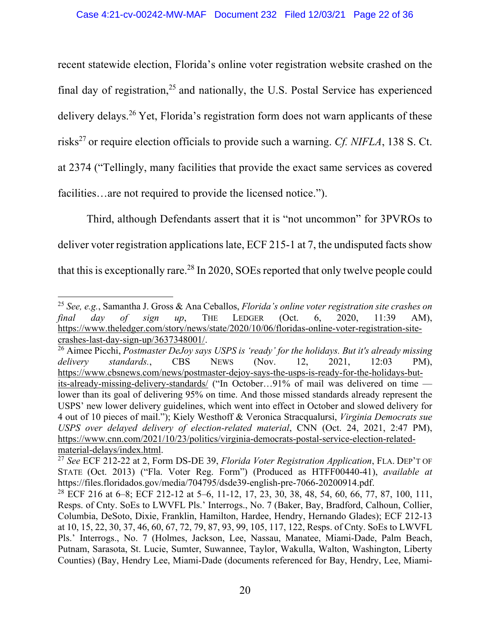recent statewide election, Florida's online voter registration website crashed on the final day of registration,  $25$  and nationally, the U.S. Postal Service has experienced delivery delays.<sup>26</sup> Yet, Florida's registration form does not warn applicants of these risks<sup>27</sup> or require election officials to provide such a warning. *Cf. NIFLA*, 138 S. Ct. at 2374 ("Tellingly, many facilities that provide the exact same services as covered facilities...are not required to provide the licensed notice.").

Third, although Defendants assert that it is "not uncommon" for 3PVROs to deliver voter registration applications late, ECF 215-1 at 7, the undisputed facts show that this is exceptionally rare.<sup>28</sup> In 2020, SOEs reported that only twelve people could

<sup>25</sup> *See, e.g.*, Samantha J. Gross & Ana Ceballos, *Florida's online voter registration site crashes on final day of sign up*, THE LEDGER (Oct. 6, 2020, 11:39 AM), https://www.theledger.com/story/news/state/2020/10/06/floridas-online-voter-registration-sitecrashes-last-day-sign-up/3637348001/.

<sup>26</sup> Aimee Picchi, *Postmaster DeJoy says USPS is 'ready' for the holidays. But it's already missing delivery standards.*, CBS NEWS (Nov. 12, 2021, 12:03 PM), https://www.cbsnews.com/news/postmaster-dejoy-says-the-usps-is-ready-for-the-holidays-butits-already-missing-delivery-standards/ ("In October…91% of mail was delivered on time lower than its goal of delivering 95% on time. And those missed standards already represent the USPS' new lower delivery guidelines, which went into effect in October and slowed delivery for 4 out of 10 pieces of mail."); Kiely Westhoff & Veronica Stracqualursi, *Virginia Democrats sue USPS over delayed delivery of election-related material*, CNN (Oct. 24, 2021, 2:47 PM), https://www.cnn.com/2021/10/23/politics/virginia-democrats-postal-service-election-relatedmaterial-delays/index.html. 27 *See* ECF 212-22 at 2, Form DS-DE 39, *Florida Voter Registration Application*, FLA. DEP'T OF

STATE (Oct. 2013) ("Fla. Voter Reg. Form") (Produced as HTFF00440-41), *available at* https://files.floridados.gov/media/704795/dsde39-english-pre-7066-20200914.pdf.

<sup>&</sup>lt;sup>28</sup> ECF 216 at 6–8; ECF 212-12 at 5–6, 11-12, 17, 23, 30, 38, 48, 54, 60, 66, 77, 87, 100, 111, Resps. of Cnty. SoEs to LWVFL Pls.' Interrogs., No. 7 (Baker, Bay, Bradford, Calhoun, Collier, Columbia, DeSoto, Dixie, Franklin, Hamilton, Hardee, Hendry, Hernando Glades); ECF 212-13 at 10, 15, 22, 30, 37, 46, 60, 67, 72, 79, 87, 93, 99, 105, 117, 122, Resps. of Cnty. SoEs to LWVFL Pls.' Interrogs., No. 7 (Holmes, Jackson, Lee, Nassau, Manatee, Miami-Dade, Palm Beach, Putnam, Sarasota, St. Lucie, Sumter, Suwannee, Taylor, Wakulla, Walton, Washington, Liberty Counties) (Bay, Hendry Lee, Miami-Dade (documents referenced for Bay, Hendry, Lee, Miami-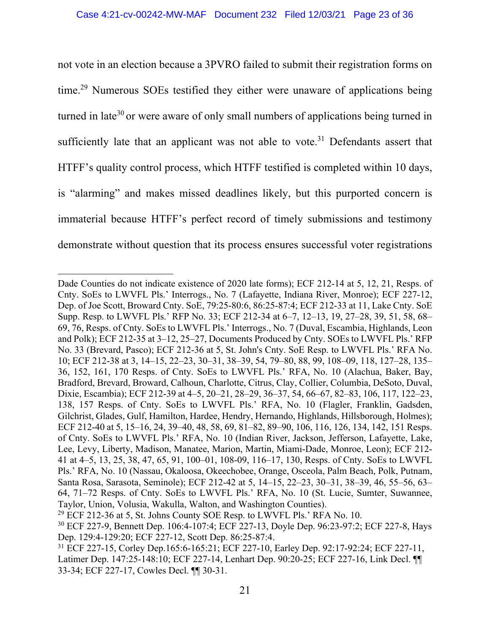not vote in an election because a 3PVRO failed to submit their registration forms on time.29 Numerous SOEs testified they either were unaware of applications being turned in late<sup>30</sup> or were aware of only small numbers of applications being turned in sufficiently late that an applicant was not able to vote.<sup>31</sup> Defendants assert that HTFF's quality control process, which HTFF testified is completed within 10 days, is "alarming" and makes missed deadlines likely, but this purported concern is immaterial because HTFF's perfect record of timely submissions and testimony demonstrate without question that its process ensures successful voter registrations

Dade Counties do not indicate existence of 2020 late forms); ECF 212-14 at 5, 12, 21, Resps. of Cnty. SoEs to LWVFL Pls.' Interrogs., No. 7 (Lafayette, Indiana River, Monroe); ECF 227-12, Dep. of Joe Scott, Broward Cnty. SoE, 79:25-80:6, 86:25-87:4; ECF 212-33 at 11, Lake Cnty. SoE Supp. Resp. to LWVFL Pls.' RFP No. 33; ECF 212-34 at 6–7, 12–13, 19, 27–28, 39, 51, 58, 68– 69, 76, Resps. of Cnty. SoEs to LWVFL Pls.' Interrogs., No. 7 (Duval, Escambia, Highlands, Leon and Polk); ECF 212-35 at 3–12, 25–27, Documents Produced by Cnty. SOEs to LWVFL Pls.' RFP No. 33 (Brevard, Pasco); ECF 212-36 at 5, St. John's Cnty. SoE Resp. to LWVFL Pls.' RFA No. 10; ECF 212-38 at 3, 14–15, 22–23, 30–31, 38–39, 54, 79–80, 88, 99, 108–09, 118, 127–28, 135– 36, 152, 161, 170 Resps. of Cnty. SoEs to LWVFL Pls.' RFA, No. 10 (Alachua, Baker, Bay, Bradford, Brevard, Broward, Calhoun, Charlotte, Citrus, Clay, Collier, Columbia, DeSoto, Duval, Dixie, Escambia); ECF 212-39 at 4–5, 20–21, 28–29, 36–37, 54, 66–67, 82–83, 106, 117, 122–23, 138, 157 Resps. of Cnty. SoEs to LWVFL Pls.' RFA, No. 10 (Flagler, Franklin, Gadsden, Gilchrist, Glades, Gulf, Hamilton, Hardee, Hendry, Hernando, Highlands, Hillsborough, Holmes); ECF 212-40 at 5, 15–16, 24, 39–40, 48, 58, 69, 81–82, 89–90, 106, 116, 126, 134, 142, 151 Resps. of Cnty. SoEs to LWVFL Pls.' RFA, No. 10 (Indian River, Jackson, Jefferson, Lafayette, Lake, Lee, Levy, Liberty, Madison, Manatee, Marion, Martin, Miami-Dade, Monroe, Leon); ECF 212- 41 at 4–5, 13, 25, 38, 47, 65, 91, 100–01, 108-09, 116–17, 130, Resps. of Cnty. SoEs to LWVFL Pls.' RFA, No. 10 (Nassau, Okaloosa, Okeechobee, Orange, Osceola, Palm Beach, Polk, Putnam, Santa Rosa, Sarasota, Seminole); ECF 212-42 at 5, 14–15, 22–23, 30–31, 38–39, 46, 55–56, 63– 64, 71–72 Resps. of Cnty. SoEs to LWVFL Pls.' RFA, No. 10 (St. Lucie, Sumter, Suwannee, Taylor, Union, Volusia, Wakulla, Walton, and Washington Counties).

 $29$  ECF 212-36 at 5, St. Johns County SOE Resp. to LWVFL Pls.' RFA No. 10.

<sup>30</sup> ECF 227-9, Bennett Dep. 106:4-107:4; ECF 227-13, Doyle Dep. 96:23-97:2; ECF 227-8, Hays Dep. 129:4-129:20; ECF 227-12, Scott Dep. 86:25-87:4.

<sup>31</sup> ECF 227-15, Corley Dep.165:6-165:21; ECF 227-10, Earley Dep. 92:17-92:24; ECF 227-11, Latimer Dep. 147:25-148:10; ECF 227-14, Lenhart Dep. 90:20-25; ECF 227-16, Link Decl. ¶¶ 33-34; ECF 227-17, Cowles Decl. ¶¶ 30-31.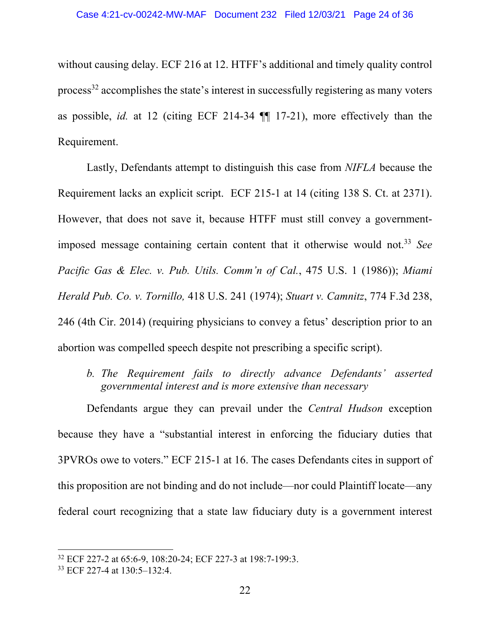without causing delay. ECF 216 at 12. HTFF's additional and timely quality control process $32$  accomplishes the state's interest in successfully registering as many voters as possible, *id.* at 12 (citing ECF 214-34 ¶¶ 17-21), more effectively than the Requirement.

Lastly, Defendants attempt to distinguish this case from *NIFLA* because the Requirement lacks an explicit script. ECF 215-1 at 14 (citing 138 S. Ct. at 2371). However, that does not save it, because HTFF must still convey a governmentimposed message containing certain content that it otherwise would not. <sup>33</sup> *See Pacific Gas & Elec. v. Pub. Utils. Comm'n of Cal.*, 475 U.S. 1 (1986)); *Miami Herald Pub. Co. v. Tornillo,* 418 U.S. 241 (1974); *Stuart v. Camnitz*, 774 F.3d 238, 246 (4th Cir. 2014) (requiring physicians to convey a fetus' description prior to an abortion was compelled speech despite not prescribing a specific script).

*b. The Requirement fails to directly advance Defendants' asserted governmental interest and is more extensive than necessary*

Defendants argue they can prevail under the *Central Hudson* exception because they have a "substantial interest in enforcing the fiduciary duties that 3PVROs owe to voters." ECF 215-1 at 16. The cases Defendants cites in support of this proposition are not binding and do not include—nor could Plaintiff locate—any federal court recognizing that a state law fiduciary duty is a government interest

<sup>32</sup> ECF 227-2 at 65:6-9, 108:20-24; ECF 227-3 at 198:7-199:3.

<sup>33</sup> ECF 227-4 at 130:5–132:4.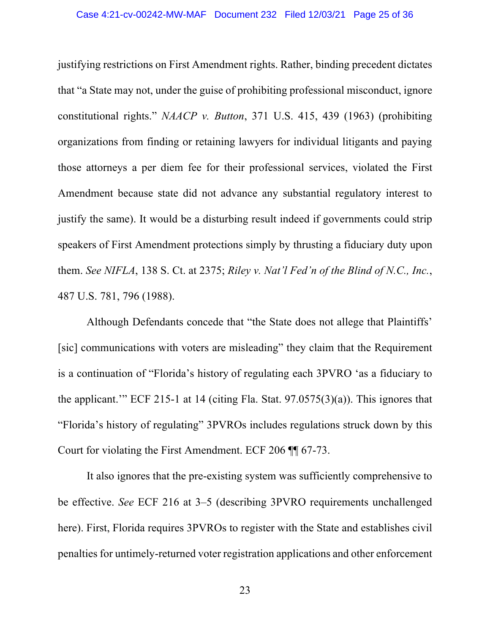justifying restrictions on First Amendment rights. Rather, binding precedent dictates that "a State may not, under the guise of prohibiting professional misconduct, ignore constitutional rights." *NAACP v. Button*, 371 U.S. 415, 439 (1963) (prohibiting organizations from finding or retaining lawyers for individual litigants and paying those attorneys a per diem fee for their professional services, violated the First Amendment because state did not advance any substantial regulatory interest to justify the same). It would be a disturbing result indeed if governments could strip speakers of First Amendment protections simply by thrusting a fiduciary duty upon them. *See NIFLA*, 138 S. Ct. at 2375; *Riley v. Nat'l Fed'n of the Blind of N.C., Inc.*, 487 U.S. 781, 796 (1988).

Although Defendants concede that "the State does not allege that Plaintiffs' [sic] communications with voters are misleading" they claim that the Requirement is a continuation of "Florida's history of regulating each 3PVRO 'as a fiduciary to the applicant.'" ECF 215-1 at 14 (citing Fla. Stat. 97.0575(3)(a)). This ignores that "Florida's history of regulating" 3PVROs includes regulations struck down by this Court for violating the First Amendment. ECF 206 ¶¶ 67-73.

It also ignores that the pre-existing system was sufficiently comprehensive to be effective. *See* ECF 216 at 3–5 (describing 3PVRO requirements unchallenged here). First, Florida requires 3PVROs to register with the State and establishes civil penalties for untimely-returned voter registration applications and other enforcement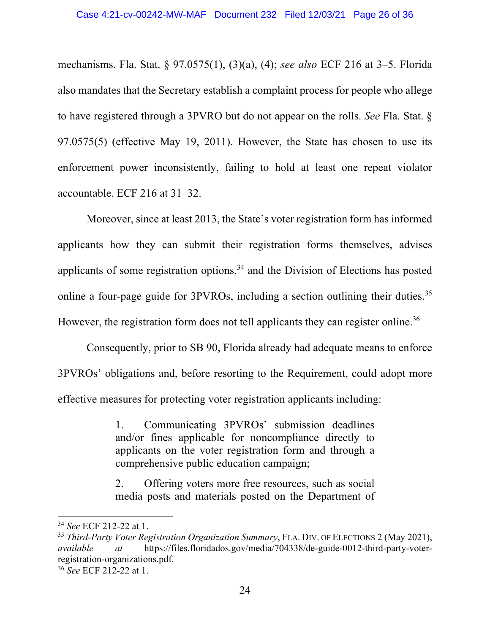mechanisms. Fla. Stat. § 97.0575(1), (3)(a), (4); *see also* ECF 216 at 3–5. Florida also mandates that the Secretary establish a complaint process for people who allege to have registered through a 3PVRO but do not appear on the rolls. *See* Fla. Stat. § 97.0575(5) (effective May 19, 2011). However, the State has chosen to use its enforcement power inconsistently, failing to hold at least one repeat violator accountable. ECF 216 at 31–32.

Moreover, since at least 2013, the State's voter registration form has informed applicants how they can submit their registration forms themselves, advises applicants of some registration options, $34$  and the Division of Elections has posted online a four-page guide for 3PVROs, including a section outlining their duties.<sup>35</sup> However, the registration form does not tell applicants they can register online.<sup>36</sup>

Consequently, prior to SB 90, Florida already had adequate means to enforce 3PVROs' obligations and, before resorting to the Requirement, could adopt more effective measures for protecting voter registration applicants including:

> 1. Communicating 3PVROs' submission deadlines and/or fines applicable for noncompliance directly to applicants on the voter registration form and through a comprehensive public education campaign;

> 2. Offering voters more free resources, such as social media posts and materials posted on the Department of

<sup>36</sup> *See* ECF 212-22 at 1.

<sup>34</sup> *See* ECF 212-22 at 1.

<sup>35</sup> *Third-Party Voter Registration Organization Summary*, FLA. DIV. OF ELECTIONS 2 (May 2021), *available at* https://files.floridados.gov/media/704338/de-guide-0012-third-party-voterregistration-organizations.pdf.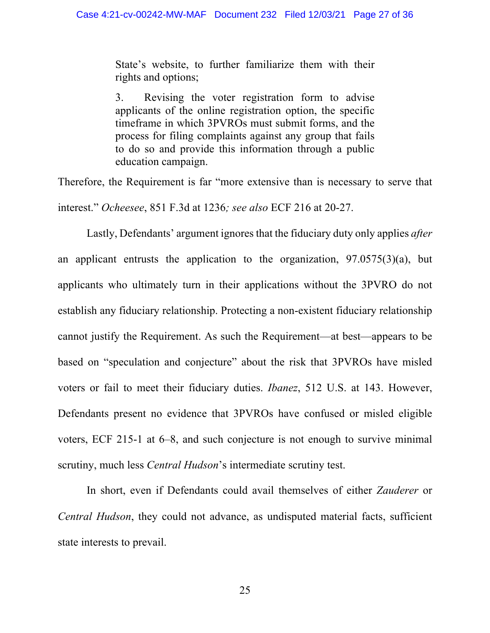State's website, to further familiarize them with their rights and options;

3. Revising the voter registration form to advise applicants of the online registration option, the specific timeframe in which 3PVROs must submit forms, and the process for filing complaints against any group that fails to do so and provide this information through a public education campaign.

Therefore, the Requirement is far "more extensive than is necessary to serve that interest." *Ocheesee*, 851 F.3d at 1236*; see also* ECF 216 at 20-27.

Lastly, Defendants' argument ignoresthat the fiduciary duty only applies *after*  an applicant entrusts the application to the organization, 97.0575(3)(a), but applicants who ultimately turn in their applications without the 3PVRO do not establish any fiduciary relationship. Protecting a non-existent fiduciary relationship cannot justify the Requirement. As such the Requirement—at best—appears to be based on "speculation and conjecture" about the risk that 3PVROs have misled voters or fail to meet their fiduciary duties. *Ibanez*, 512 U.S. at 143. However, Defendants present no evidence that 3PVROs have confused or misled eligible voters, ECF 215-1 at 6–8, and such conjecture is not enough to survive minimal scrutiny, much less *Central Hudson*'s intermediate scrutiny test.

In short, even if Defendants could avail themselves of either *Zauderer* or *Central Hudson*, they could not advance, as undisputed material facts, sufficient state interests to prevail.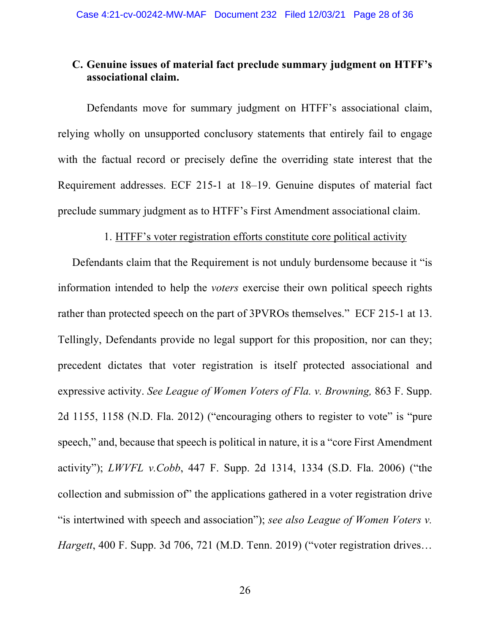### **C. Genuine issues of material fact preclude summary judgment on HTFF's associational claim.**

Defendants move for summary judgment on HTFF's associational claim, relying wholly on unsupported conclusory statements that entirely fail to engage with the factual record or precisely define the overriding state interest that the Requirement addresses. ECF 215-1 at 18–19. Genuine disputes of material fact preclude summary judgment as to HTFF's First Amendment associational claim.

### 1. HTFF's voter registration efforts constitute core political activity

Defendants claim that the Requirement is not unduly burdensome because it "is information intended to help the *voters* exercise their own political speech rights rather than protected speech on the part of 3PVROs themselves." ECF 215-1 at 13. Tellingly, Defendants provide no legal support for this proposition, nor can they; precedent dictates that voter registration is itself protected associational and expressive activity. *See League of Women Voters of Fla. v. Browning,* 863 F. Supp. 2d 1155, 1158 (N.D. Fla. 2012) ("encouraging others to register to vote" is "pure speech," and, because that speech is political in nature, it is a "core First Amendment activity"); *LWVFL v.Cobb*, 447 F. Supp. 2d 1314, 1334 (S.D. Fla. 2006) ("the collection and submission of" the applications gathered in a voter registration drive "is intertwined with speech and association"); *see also League of Women Voters v. Hargett*, 400 F. Supp. 3d 706, 721 (M.D. Tenn. 2019) ("voter registration drives…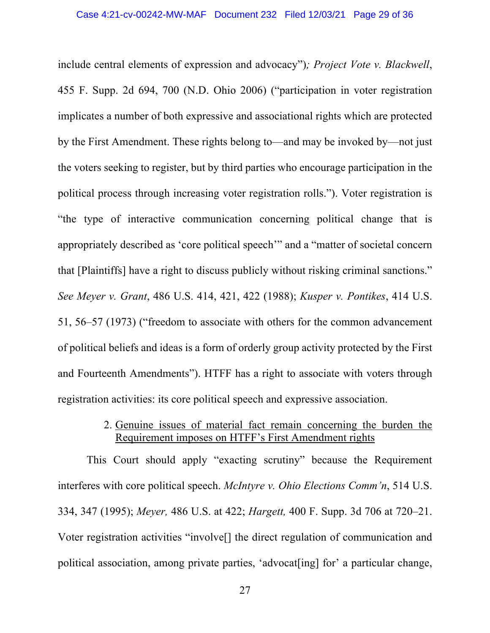include central elements of expression and advocacy")*; Project Vote v. Blackwell*, 455 F. Supp. 2d 694, 700 (N.D. Ohio 2006) ("participation in voter registration implicates a number of both expressive and associational rights which are protected by the First Amendment. These rights belong to—and may be invoked by—not just the voters seeking to register, but by third parties who encourage participation in the political process through increasing voter registration rolls."). Voter registration is "the type of interactive communication concerning political change that is appropriately described as 'core political speech'" and a "matter of societal concern that [Plaintiffs] have a right to discuss publicly without risking criminal sanctions." *See Meyer v. Grant*, 486 U.S. 414, 421, 422 (1988); *Kusper v. Pontikes*, 414 U.S. 51, 56–57 (1973) ("freedom to associate with others for the common advancement of political beliefs and ideas is a form of orderly group activity protected by the First and Fourteenth Amendments"). HTFF has a right to associate with voters through registration activities: its core political speech and expressive association.

## 2. Genuine issues of material fact remain concerning the burden the Requirement imposes on HTFF's First Amendment rights

This Court should apply "exacting scrutiny" because the Requirement interferes with core political speech. *McIntyre v. Ohio Elections Comm'n*, 514 U.S. 334, 347 (1995); *Meyer,* 486 U.S. at 422; *Hargett,* 400 F. Supp. 3d 706 at 720–21. Voter registration activities "involve[] the direct regulation of communication and political association, among private parties, 'advocat[ing] for' a particular change,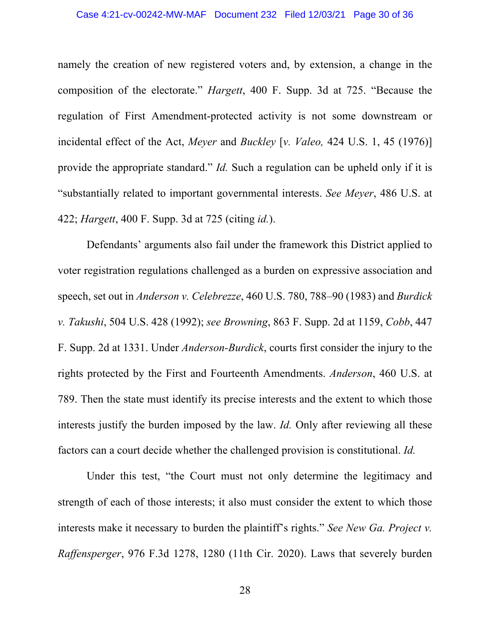#### Case 4:21-cv-00242-MW-MAF Document 232 Filed 12/03/21 Page 30 of 36

namely the creation of new registered voters and, by extension, a change in the composition of the electorate." *Hargett*, 400 F. Supp. 3d at 725. "Because the regulation of First Amendment-protected activity is not some downstream or incidental effect of the Act, *Meyer* and *Buckley* [*v. Valeo,* 424 U.S. 1, 45 (1976)] provide the appropriate standard." *Id.* Such a regulation can be upheld only if it is "substantially related to important governmental interests. *See Meyer*, 486 U.S. at 422; *Hargett*, 400 F. Supp. 3d at 725 (citing *id.*).

Defendants' arguments also fail under the framework this District applied to voter registration regulations challenged as a burden on expressive association and speech, set out in *Anderson v. Celebrezze*, 460 U.S. 780, 788–90 (1983) and *Burdick v. Takushi*, 504 U.S. 428 (1992); *see Browning*, 863 F. Supp. 2d at 1159, *Cobb*, 447 F. Supp. 2d at 1331. Under *Anderson-Burdick*, courts first consider the injury to the rights protected by the First and Fourteenth Amendments. *Anderson*, 460 U.S. at 789. Then the state must identify its precise interests and the extent to which those interests justify the burden imposed by the law. *Id.* Only after reviewing all these factors can a court decide whether the challenged provision is constitutional. *Id.*

Under this test, "the Court must not only determine the legitimacy and strength of each of those interests; it also must consider the extent to which those interests make it necessary to burden the plaintiff's rights." *See New Ga. Project v. Raffensperger*, 976 F.3d 1278, 1280 (11th Cir. 2020). Laws that severely burden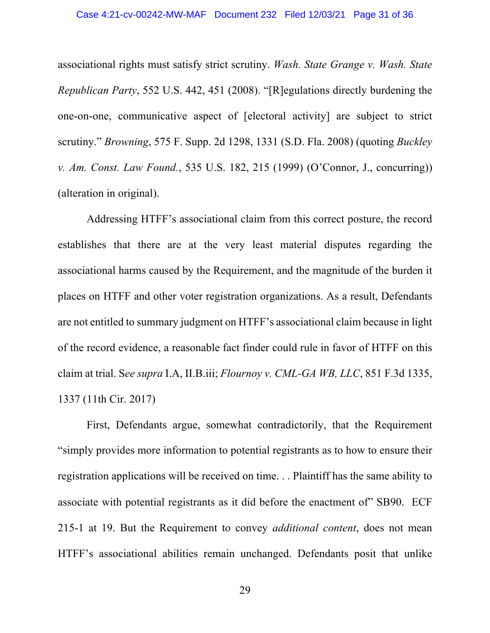associational rights must satisfy strict scrutiny. *Wash. State Grange v. Wash. State Republican Party*, 552 U.S. 442, 451 (2008). "[R]egulations directly burdening the one-on-one, communicative aspect of [electoral activity] are subject to strict scrutiny." *Browning*, 575 F. Supp. 2d 1298, 1331 (S.D. Fla. 2008) (quoting *Buckley v. Am. Const. Law Found.*, 535 U.S. 182, 215 (1999) (O'Connor, J., concurring)) (alteration in original).

Addressing HTFF's associational claim from this correct posture, the record establishes that there are at the very least material disputes regarding the associational harms caused by the Requirement, and the magnitude of the burden it places on HTFF and other voter registration organizations. As a result, Defendants are not entitled to summary judgment on HTFF's associational claim because in light of the record evidence, a reasonable fact finder could rule in favor of HTFF on this claim at trial. S*ee supra* I.A, II.B.iii; *Flournoy v. CML-GA WB, LLC*, 851 F.3d 1335, 1337 (11th Cir. 2017)

First, Defendants argue, somewhat contradictorily, that the Requirement "simply provides more information to potential registrants as to how to ensure their registration applications will be received on time. . . Plaintiff has the same ability to associate with potential registrants as it did before the enactment of" SB90. ECF 215-1 at 19. But the Requirement to convey *additional content*, does not mean HTFF's associational abilities remain unchanged. Defendants posit that unlike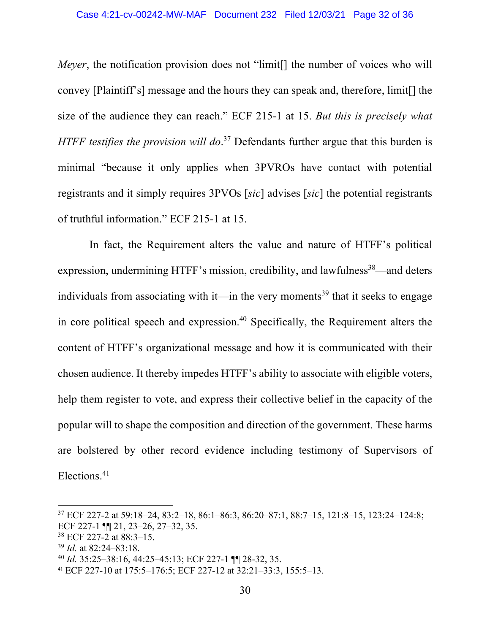*Meyer*, the notification provision does not "limit. If the number of voices who will convey [Plaintiff's] message and the hours they can speak and, therefore, limit[] the size of the audience they can reach." ECF 215-1 at 15. *But this is precisely what HTFF testifies the provision will do*. <sup>37</sup> Defendants further argue that this burden is minimal "because it only applies when 3PVROs have contact with potential registrants and it simply requires 3PVOs [*sic*] advises [*sic*] the potential registrants of truthful information." ECF 215-1 at 15.

In fact, the Requirement alters the value and nature of HTFF's political expression, undermining HTFF's mission, credibility, and lawfulness<sup>38</sup>—and deters individuals from associating with it—in the very moments<sup>39</sup> that it seeks to engage in core political speech and expression. <sup>40</sup> Specifically, the Requirement alters the content of HTFF's organizational message and how it is communicated with their chosen audience. It thereby impedes HTFF's ability to associate with eligible voters, help them register to vote, and express their collective belief in the capacity of the popular will to shape the composition and direction of the government. These harms are bolstered by other record evidence including testimony of Supervisors of Elections. 41

<sup>37</sup> ECF 227-2 at 59:18–24, 83:2–18, 86:1–86:3, 86:20–87:1, 88:7–15, 121:8–15, 123:24–124:8; ECF 227-1 ¶¶ 21, 23–26, 27–32, 35.

<sup>38</sup> ECF 227-2 at 88:3–15.

<sup>39</sup> *Id.* at 82:24–83:18.

<sup>40</sup> *Id.* 35:25–38:16, 44:25–45:13; ECF 227-1 ¶¶ 28-32, 35.

<sup>41</sup> ECF 227-10 at 175:5–176:5; ECF 227-12 at 32:21–33:3, 155:5–13.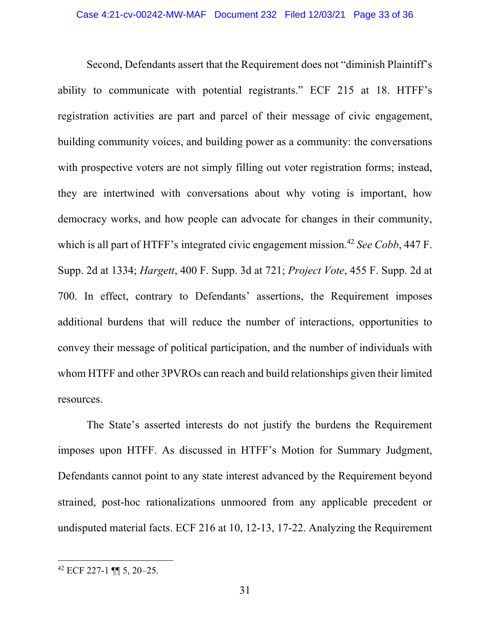Second, Defendants assert that the Requirement does not "diminish Plaintiff's ability to communicate with potential registrants." ECF 215 at 18. HTFF's registration activities are part and parcel of their message of civic engagement, building community voices, and building power as a community: the conversations with prospective voters are not simply filling out voter registration forms; instead, they are intertwined with conversations about why voting is important, how democracy works, and how people can advocate for changes in their community, which is all part of HTFF's integrated civic engagement mission.42 *See Cobb*, 447 F. Supp. 2d at 1334; *Hargett*, 400 F. Supp. 3d at 721; *Project Vote*, 455 F. Supp. 2d at 700. In effect, contrary to Defendants' assertions, the Requirement imposes additional burdens that will reduce the number of interactions, opportunities to convey their message of political participation, and the number of individuals with whom HTFF and other 3PVROs can reach and build relationships given their limited resources.

The State's asserted interests do not justify the burdens the Requirement imposes upon HTFF. As discussed in HTFF's Motion for Summary Judgment, Defendants cannot point to any state interest advanced by the Requirement beyond strained, post-hoc rationalizations unmoored from any applicable precedent or undisputed material facts. ECF 216 at 10, 12-13, 17-22. Analyzing the Requirement

<sup>42</sup> ECF 227-1 ¶¶ 5, 20–25.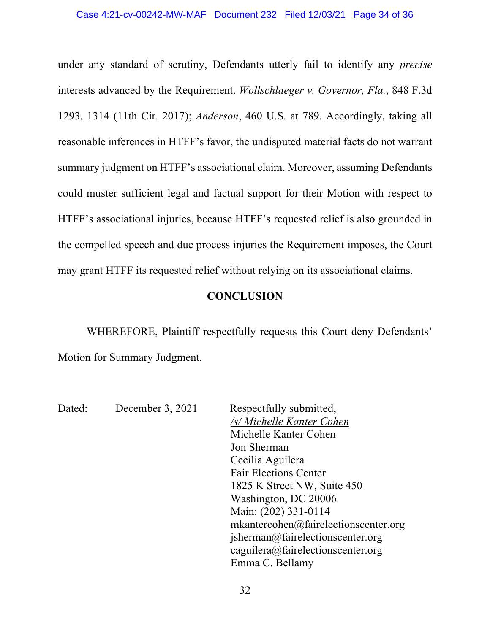under any standard of scrutiny, Defendants utterly fail to identify any *precise* interests advanced by the Requirement. *Wollschlaeger v. Governor, Fla.*, 848 F.3d 1293, 1314 (11th Cir. 2017); *Anderson*, 460 U.S. at 789. Accordingly, taking all reasonable inferences in HTFF's favor, the undisputed material facts do not warrant summary judgment on HTFF's associational claim. Moreover, assuming Defendants could muster sufficient legal and factual support for their Motion with respect to HTFF's associational injuries, because HTFF's requested relief is also grounded in the compelled speech and due process injuries the Requirement imposes, the Court may grant HTFF its requested relief without relying on its associational claims.

### **CONCLUSION**

WHEREFORE, Plaintiff respectfully requests this Court deny Defendants' Motion for Summary Judgment.

Dated: December 3, 2021 Respectfully submitted, */s/ Michelle Kanter Cohen* Michelle Kanter Cohen  Jon Sherman   Cecilia Aguilera  Fair Elections Center  1825 K Street NW, Suite 450  Washington, DC 20006  Main: (202) 331-0114  mkantercohen@fairelectionscenter.org jsherman@fairelectionscenter.org  caguilera@fairelectionscenter.org Emma C. Bellamy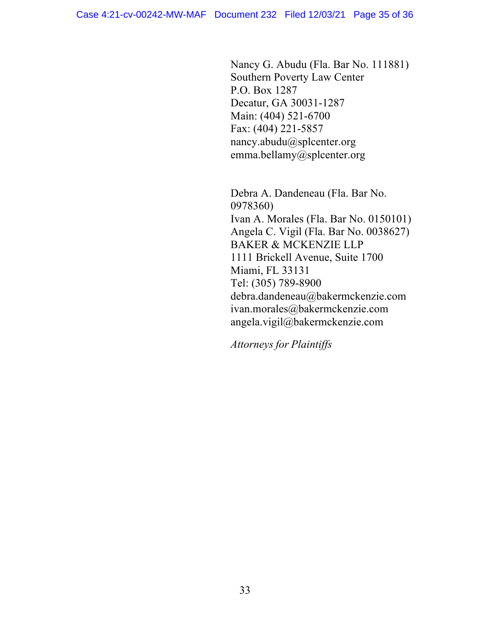Nancy G. Abudu (Fla. Bar No. 111881)  Southern Poverty Law Center  P.O. Box 1287  Decatur, GA 30031-1287  Main: (404) 521-6700  Fax: (404) 221-5857  nancy.abudu@splcenter.org emma.bellamy@splcenter.org

Debra A. Dandeneau (Fla. Bar No. 0978360) Ivan A. Morales (Fla. Bar No. 0150101) Angela C. Vigil (Fla. Bar No. 0038627) BAKER & MCKENZIE LLP 1111 Brickell Avenue, Suite 1700 Miami, FL 33131 Tel: (305) 789-8900 debra.dandeneau@bakermckenzie.com ivan.morales@bakermckenzie.com angela.vigil@bakermckenzie.com

*Attorneys for Plaintiffs*